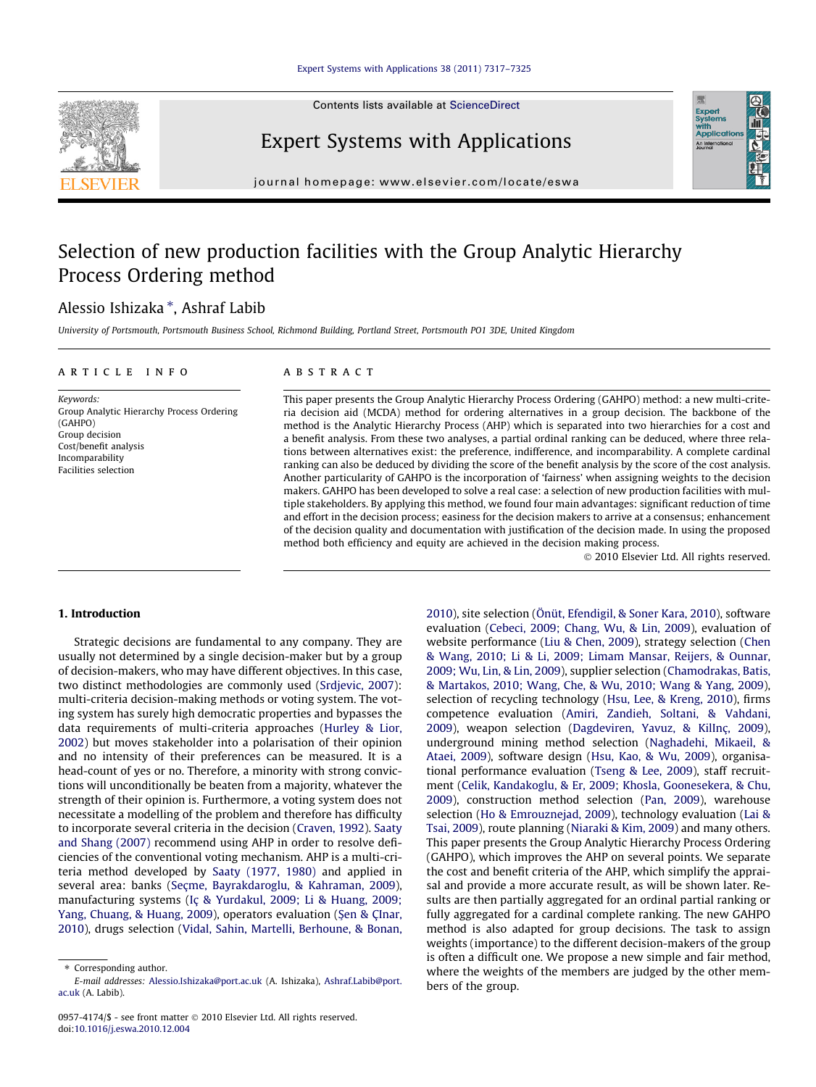

Expert Systems with Applications

Contents lists available at [ScienceDirect](http://www.sciencedirect.com/science/journal/09574174)

journal homepage: [www.elsevier.com/locate/eswa](http://www.elsevier.com/locate/eswa)

## Selection of new production facilities with the Group Analytic Hierarchy Process Ordering method

## Alessio Ishizaka \*, Ashraf Labib

University of Portsmouth, Portsmouth Business School, Richmond Building, Portland Street, Portsmouth PO1 3DE, United Kingdom

#### article info

Keywords: Group Analytic Hierarchy Process Ordering (GAHPO) Group decision Cost/benefit analysis Incomparability Facilities selection

#### ABSTRACT

This paper presents the Group Analytic Hierarchy Process Ordering (GAHPO) method: a new multi-criteria decision aid (MCDA) method for ordering alternatives in a group decision. The backbone of the method is the Analytic Hierarchy Process (AHP) which is separated into two hierarchies for a cost and a benefit analysis. From these two analyses, a partial ordinal ranking can be deduced, where three relations between alternatives exist: the preference, indifference, and incomparability. A complete cardinal ranking can also be deduced by dividing the score of the benefit analysis by the score of the cost analysis. Another particularity of GAHPO is the incorporation of 'fairness' when assigning weights to the decision makers. GAHPO has been developed to solve a real case: a selection of new production facilities with multiple stakeholders. By applying this method, we found four main advantages: significant reduction of time and effort in the decision process; easiness for the decision makers to arrive at a consensus; enhancement of the decision quality and documentation with justification of the decision made. In using the proposed method both efficiency and equity are achieved in the decision making process.

- 2010 Elsevier Ltd. All rights reserved.

#### 1. Introduction

Strategic decisions are fundamental to any company. They are usually not determined by a single decision-maker but by a group of decision-makers, who may have different objectives. In this case, two distinct methodologies are commonly used ([Srdjevic, 2007\)](#page--1-0): multi-criteria decision-making methods or voting system. The voting system has surely high democratic properties and bypasses the data requirements of multi-criteria approaches ([Hurley & Lior,](#page--1-0) [2002](#page--1-0)) but moves stakeholder into a polarisation of their opinion and no intensity of their preferences can be measured. It is a head-count of yes or no. Therefore, a minority with strong convictions will unconditionally be beaten from a majority, whatever the strength of their opinion is. Furthermore, a voting system does not necessitate a modelling of the problem and therefore has difficulty to incorporate several criteria in the decision ([Craven, 1992](#page--1-0)). [Saaty](#page--1-0) [and Shang \(2007\)](#page--1-0) recommend using AHP in order to resolve deficiencies of the conventional voting mechanism. AHP is a multi-criteria method developed by [Saaty \(1977, 1980\)](#page--1-0) and applied in several area: banks [\(Seçme, Bayrakdaroglu, & Kahraman, 2009\)](#page--1-0), manufacturing systems ([Iç & Yurdakul, 2009; Li & Huang, 2009;](#page--1-0) [Yang, Chuang, & Huang, 2009](#page--1-0)), operators evaluation (Ş[en & ÇInar,](#page--1-0) [2010](#page--1-0)), drugs selection [\(Vidal, Sahin, Martelli, Berhoune, & Bonan,](#page--1-0)

[2010](#page--1-0)), site selection ([Önüt, Efendigil, & Soner Kara, 2010\)](#page--1-0), software evaluation ([Cebeci, 2009; Chang, Wu, & Lin, 2009](#page--1-0)), evaluation of website performance ([Liu & Chen, 2009](#page--1-0)), strategy selection ([Chen](#page--1-0) [& Wang, 2010; Li & Li, 2009; Limam Mansar, Reijers, & Ounnar,](#page--1-0) [2009; Wu, Lin, & Lin, 2009](#page--1-0)), supplier selection [\(Chamodrakas, Batis,](#page--1-0) [& Martakos, 2010; Wang, Che, & Wu, 2010; Wang & Yang, 2009\)](#page--1-0), selection of recycling technology [\(Hsu, Lee, & Kreng, 2010](#page--1-0)), firms competence evaluation [\(Amiri, Zandieh, Soltani, & Vahdani,](#page--1-0) [2009](#page--1-0)), weapon selection [\(Dagdeviren, Yavuz, & KilInç, 2009\)](#page--1-0), underground mining method selection [\(Naghadehi, Mikaeil, &](#page--1-0) [Ataei, 2009](#page--1-0)), software design ([Hsu, Kao, & Wu, 2009\)](#page--1-0), organisational performance evaluation [\(Tseng & Lee, 2009\)](#page--1-0), staff recruitment [\(Celik, Kandakoglu, & Er, 2009; Khosla, Goonesekera, & Chu,](#page--1-0) [2009](#page--1-0)), construction method selection ([Pan, 2009\)](#page--1-0), warehouse selection ([Ho & Emrouznejad, 2009\)](#page--1-0), technology evaluation [\(Lai &](#page--1-0) [Tsai, 2009](#page--1-0)), route planning ([Niaraki & Kim, 2009](#page--1-0)) and many others. This paper presents the Group Analytic Hierarchy Process Ordering (GAHPO), which improves the AHP on several points. We separate the cost and benefit criteria of the AHP, which simplify the appraisal and provide a more accurate result, as will be shown later. Results are then partially aggregated for an ordinal partial ranking or fully aggregated for a cardinal complete ranking. The new GAHPO method is also adapted for group decisions. The task to assign weights (importance) to the different decision-makers of the group is often a difficult one. We propose a new simple and fair method, where the weights of the members are judged by the other members of the group.

<sup>⇑</sup> Corresponding author.

E-mail addresses: [Alessio.Ishizaka@port.ac.uk](mailto:Alessio.Ishizaka@port.ac.uk) (A. Ishizaka), [Ashraf.Labib@port.](mailto:Ashraf.Labib@port.ac.uk) [ac.uk](mailto:Ashraf.Labib@port.ac.uk) (A. Labib).

<sup>0957-4174/\$ -</sup> see front matter © 2010 Elsevier Ltd. All rights reserved. doi[:10.1016/j.eswa.2010.12.004](http://dx.doi.org/10.1016/j.eswa.2010.12.004)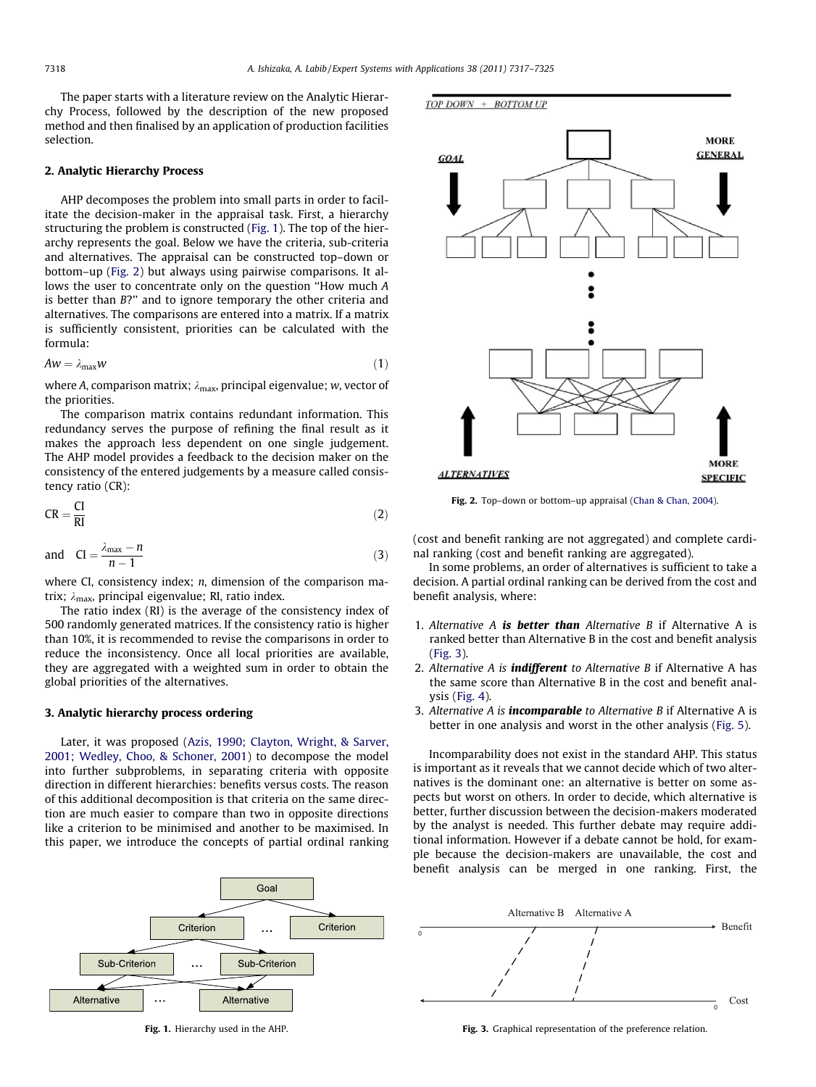The paper starts with a literature review on the Analytic Hierarchy Process, followed by the description of the new proposed method and then finalised by an application of production facilities selection.

### 2. Analytic Hierarchy Process

AHP decomposes the problem into small parts in order to facilitate the decision-maker in the appraisal task. First, a hierarchy structuring the problem is constructed (Fig. 1). The top of the hierarchy represents the goal. Below we have the criteria, sub-criteria and alternatives. The appraisal can be constructed top–down or bottom–up (Fig. 2) but always using pairwise comparisons. It allows the user to concentrate only on the question ''How much A is better than B?'' and to ignore temporary the other criteria and alternatives. The comparisons are entered into a matrix. If a matrix is sufficiently consistent, priorities can be calculated with the formula:

$$
A w = \lambda_{\text{max}} w \tag{1}
$$

where A, comparison matrix;  $\lambda_{\text{max}}$ , principal eigenvalue; w, vector of the priorities.

The comparison matrix contains redundant information. This redundancy serves the purpose of refining the final result as it makes the approach less dependent on one single judgement. The AHP model provides a feedback to the decision maker on the consistency of the entered judgements by a measure called consistency ratio (CR):

$$
CR = \frac{Cl}{RI}
$$
 (2)

and 
$$
CI = \frac{\lambda_{\text{max}} - n}{n - 1}
$$
 (3)

where CI, consistency index; *n*, dimension of the comparison matrix;  $\lambda_{\text{max}}$ , principal eigenvalue; RI, ratio index.

The ratio index (RI) is the average of the consistency index of 500 randomly generated matrices. If the consistency ratio is higher than 10%, it is recommended to revise the comparisons in order to reduce the inconsistency. Once all local priorities are available, they are aggregated with a weighted sum in order to obtain the global priorities of the alternatives.

#### 3. Analytic hierarchy process ordering

Later, it was proposed [\(Azis, 1990; Clayton, Wright, & Sarver,](#page--1-0) [2001; Wedley, Choo, & Schoner, 2001](#page--1-0)) to decompose the model into further subproblems, in separating criteria with opposite direction in different hierarchies: benefits versus costs. The reason of this additional decomposition is that criteria on the same direction are much easier to compare than two in opposite directions like a criterion to be minimised and another to be maximised. In this paper, we introduce the concepts of partial ordinal ranking



Fig. 1. Hierarchy used in the AHP.



Fig. 2. Top–down or bottom–up appraisal ([Chan & Chan, 2004\)](#page--1-0).

(cost and benefit ranking are not aggregated) and complete cardinal ranking (cost and benefit ranking are aggregated).

In some problems, an order of alternatives is sufficient to take a decision. A partial ordinal ranking can be derived from the cost and benefit analysis, where:

- 1. Alternative A is better than Alternative B if Alternative A is ranked better than Alternative B in the cost and benefit analysis (Fig. 3).
- 2. Alternative A is *indifferent* to Alternative B if Alternative A has the same score than Alternative B in the cost and benefit analysis ([Fig. 4](#page--1-0)).
- 3. Alternative A is **incomparable** to Alternative B if Alternative A is better in one analysis and worst in the other analysis ([Fig. 5](#page--1-0)).

Incomparability does not exist in the standard AHP. This status is important as it reveals that we cannot decide which of two alternatives is the dominant one: an alternative is better on some aspects but worst on others. In order to decide, which alternative is better, further discussion between the decision-makers moderated by the analyst is needed. This further debate may require additional information. However if a debate cannot be hold, for example because the decision-makers are unavailable, the cost and benefit analysis can be merged in one ranking. First, the



Fig. 3. Graphical representation of the preference relation.